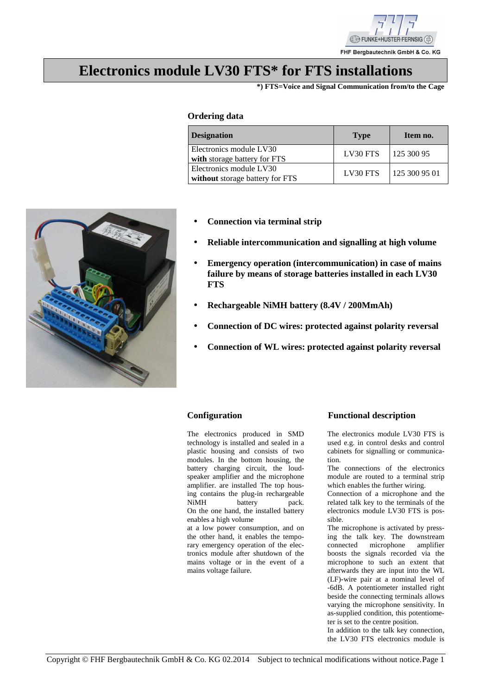

FHF Bergbautechnik GmbH & Co. KG

# **Electronics module LV30 FTS\* for FTS installations**

**\*) FTS=Voice and Signal Communication from/to the Cage**

#### **Ordering data**

| <b>Designation</b>                                         | <b>Type</b> | Item no.      |
|------------------------------------------------------------|-------------|---------------|
| Electronics module LV30<br>with storage battery for FTS    | LV30 FTS    | 125 300 95    |
| Electronics module LV30<br>without storage battery for FTS | LV30 FTS    | 125 300 95 01 |

- **Connection via terminal strip** 
	- **Reliable intercommunication and signalling at high volume**
	- **Emergency operation (intercommunication) in case of mains failure by means of storage batteries installed in each LV30 FTS**
	- **Rechargeable NiMH battery (8.4V / 200MmAh)**
	- **Connection of DC wires: protected against polarity reversal**
	- **Connection of WL wires: protected against polarity reversal**

The electronics produced in SMD technology is installed and sealed in a plastic housing and consists of two modules. In the bottom housing, the battery charging circuit, the loudspeaker amplifier and the microphone amplifier. are installed The top housing contains the plug-in rechargeable<br>NiMH battery pack. battery pack. On the one hand, the installed battery enables a high volume at a low power consumption, and on

the other hand, it enables the temporary emergency operation of the electronics module after shutdown of the mains voltage or in the event of a mains voltage failure.

# **Configuration Functional description**

The electronics module LV30 FTS is used e.g. in control desks and control cabinets for signalling or communication.

The connections of the electronics module are routed to a terminal strip which enables the further wiring.

Connection of a microphone and the related talk key to the terminals of the electronics module LV30 FTS is possible.

The microphone is activated by pressing the talk key. The downstream connected microphone amplifier boosts the signals recorded via the microphone to such an extent that afterwards they are input into the WL (LF)-wire pair at a nominal level of -6dB. A potentiometer installed right beside the connecting terminals allows varying the microphone sensitivity. In as-supplied condition, this potentiometer is set to the centre position.

In addition to the talk key connection, the LV30 FTS electronics module is

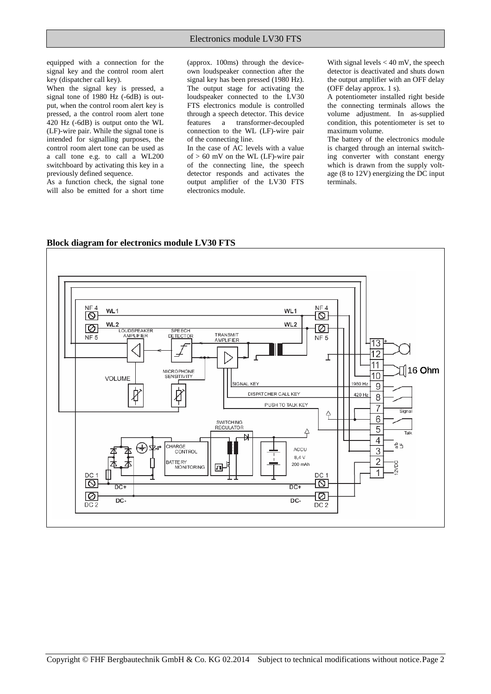equipped with a connection for the signal key and the control room alert key (dispatcher call key).

When the signal key is pressed, a signal tone of 1980 Hz (-6dB) is output, when the control room alert key is pressed, a the control room alert tone 420 Hz (-6dB) is output onto the WL (LF)-wire pair. While the signal tone is intended for signalling purposes, the control room alert tone can be used as a call tone e.g. to call a WL200 switchboard by activating this key in a previously defined sequence.

As a function check, the signal tone will also be emitted for a short time

(approx. 100ms) through the deviceown loudspeaker connection after the signal key has been pressed (1980 Hz). The output stage for activating the loudspeaker connected to the LV30 FTS electronics module is controlled through a speech detector. This device features a transformer-decoupled connection to the WL (LF)-wire pair of the connecting line.

In the case of AC levels with a value of  $> 60$  mV on the WL (LF)-wire pair of the connecting line, the speech detector responds and activates the output amplifier of the LV30 FTS electronics module.

With signal levels  $< 40$  mV, the speech detector is deactivated and shuts down the output amplifier with an OFF delay (OFF delay approx. 1 s).

A potentiometer installed right beside the connecting terminals allows the volume adjustment. In as-supplied condition, this potentiometer is set to maximum volume.

The battery of the electronics module is charged through an internal switching converter with constant energy which is drawn from the supply voltage (8 to 12V) energizing the DC input terminals.



#### **Block diagram for electronics module LV30 FTS**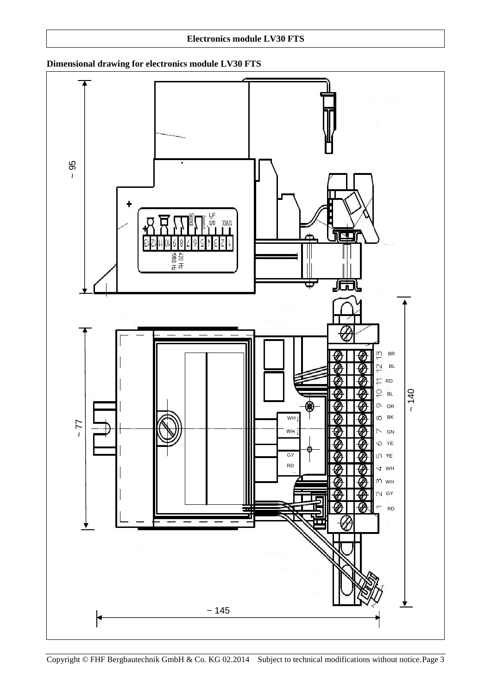# **Electronics module LV30 FTS**

# **Dimensional drawing for electronics module LV30 FTS**

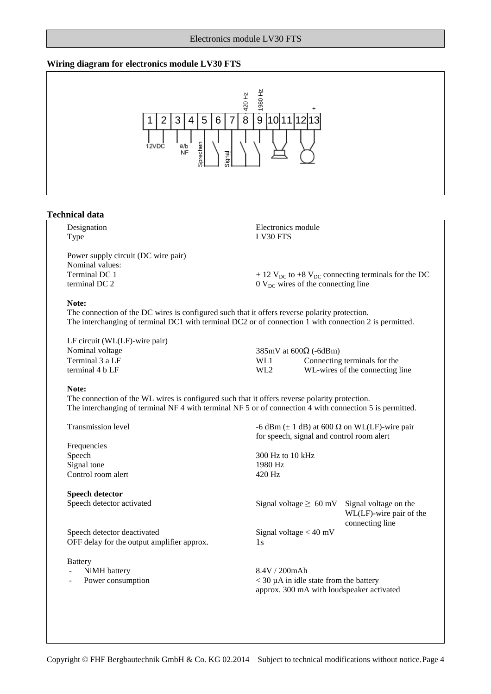# **Wiring diagram for electronics module LV30 FTS**



# **Technical data**

| Designation<br>Type                                                                                    | Electronics module<br>LV30 FTS                                                                                   |
|--------------------------------------------------------------------------------------------------------|------------------------------------------------------------------------------------------------------------------|
| Power supply circuit (DC wire pair)<br>Nominal values:                                                 |                                                                                                                  |
| Terminal DC 1<br>terminal DC 2                                                                         | + 12 $V_{DC}$ to +8 $V_{DC}$ connecting terminals for the DC<br>$0$ V <sub>DC</sub> wires of the connecting line |
| Note:                                                                                                  |                                                                                                                  |
| The connection of the DC wires is configured such that it offers reverse polarity protection.          | The interchanging of terminal DC1 with terminal DC2 or of connection 1 with connection 2 is permitted.           |
| LF circuit (WL(LF)-wire pair)                                                                          |                                                                                                                  |
| Nominal voltage                                                                                        | 385mV at $600\Omega$ (-6dBm)                                                                                     |
| Terminal 3 a LF                                                                                        | Connecting terminals for the<br>WL1                                                                              |
| terminal 4 b LF                                                                                        | WL <sub>2</sub><br>WL-wires of the connecting line                                                               |
| Note:<br>The connection of the WL wires is configured such that it offers reverse polarity protection. | The interchanging of terminal NF 4 with terminal NF 5 or of connection 4 with connection 5 is permitted.         |
| <b>Transmission level</b>                                                                              | -6 dBm ( $\pm$ 1 dB) at 600 $\Omega$ on WL(LF)-wire pair<br>for speech, signal and control room alert            |
| Frequencies                                                                                            | 300 Hz to 10 kHz                                                                                                 |
| Speech<br>Signal tone                                                                                  | 1980 Hz                                                                                                          |
| Control room alert                                                                                     | 420 Hz                                                                                                           |
| <b>Speech detector</b>                                                                                 |                                                                                                                  |
| Speech detector activated                                                                              | Signal voltage $\geq 60$ mV<br>Signal voltage on the<br>WL(LF)-wire pair of the<br>connecting line               |
| Speech detector deactivated                                                                            | Signal voltage $<$ 40 mV                                                                                         |
| OFF delay for the output amplifier approx.                                                             | 1s                                                                                                               |
|                                                                                                        |                                                                                                                  |
|                                                                                                        |                                                                                                                  |
| <b>Battery</b><br>NiMH battery                                                                         | 8.4V / 200mAh                                                                                                    |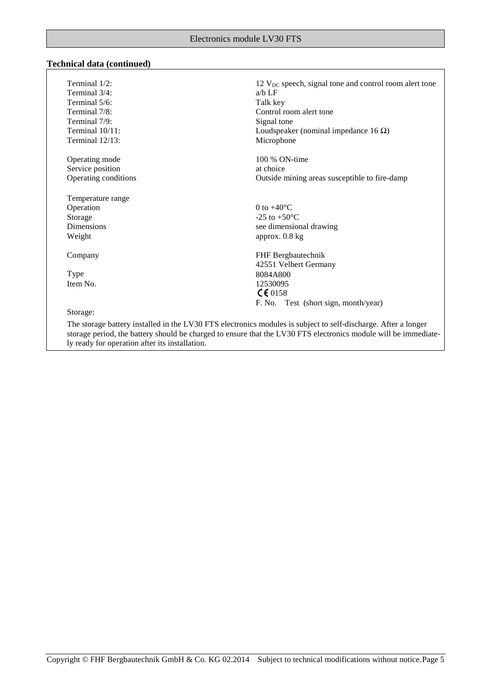# **Technical data (continued)**

| Terminal 1/2:        | 12 $V_{DC}$ speech, signal tone and control room alert tone                                                                                                                                                                                            |
|----------------------|--------------------------------------------------------------------------------------------------------------------------------------------------------------------------------------------------------------------------------------------------------|
| Terminal 3/4:        | $a/b$ LF                                                                                                                                                                                                                                               |
| Terminal 5/6:        | Talk key                                                                                                                                                                                                                                               |
| Terminal 7/8:        | Control room alert tone                                                                                                                                                                                                                                |
| Terminal 7/9:        | Signal tone                                                                                                                                                                                                                                            |
| Terminal 10/11:      | Loudspeaker (nominal impedance 16 $\Omega$ )                                                                                                                                                                                                           |
| Terminal 12/13:      | Microphone                                                                                                                                                                                                                                             |
| Operating mode       | 100 % ON-time                                                                                                                                                                                                                                          |
| Service position     | at choice                                                                                                                                                                                                                                              |
| Operating conditions | Outside mining areas susceptible to fire-damp                                                                                                                                                                                                          |
| Temperature range    |                                                                                                                                                                                                                                                        |
| Operation            | 0 to $+40^{\circ}$ C                                                                                                                                                                                                                                   |
| Storage              | $-25$ to $+50^{\circ}$ C                                                                                                                                                                                                                               |
| <b>Dimensions</b>    | see dimensional drawing                                                                                                                                                                                                                                |
| Weight               | approx. 0.8 kg                                                                                                                                                                                                                                         |
| Company              | FHF Bergbautechnik                                                                                                                                                                                                                                     |
|                      | 42551 Velbert Germany                                                                                                                                                                                                                                  |
| Type                 | 8084A800                                                                                                                                                                                                                                               |
| Item No.             | 12530095                                                                                                                                                                                                                                               |
|                      | $C \epsilon 0158$                                                                                                                                                                                                                                      |
|                      | F. No. Test (short sign, month/year)                                                                                                                                                                                                                   |
| Storage:             |                                                                                                                                                                                                                                                        |
|                      | The storage battery installed in the LV30 FTS electronics modules is subject to self-discharge. After a longer                                                                                                                                         |
|                      | $1.4 \t1.7 \t1.11 \t1.11 \t1.11 \t1.111 \t1.1111 \t1.11111 \t1.111111 \t1.111111 \t1.111111 \t1.111111 \t1.111111 \t1.111111 \t1.111111 \t1.111111 \t1.111111 \t1.111111 \t1.111111 \t1.111111 \t1.111111 \t1.111111 \t1.111111 \t1.111111 \t1.111111$ |

storage period, the battery should be charged to ensure that the LV30 FTS electronics module will be immediately ready for operation after its installation.